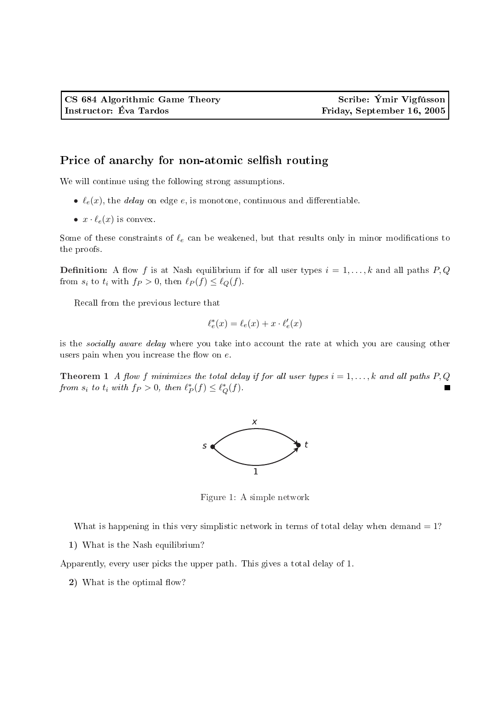## Price of anarchy for non-atomic selfish routing

We will continue using the following strong assumptions.

- $\ell_e(x)$ , the *delay* on edge e, is monotone, continuous and differentiable.
- $x \cdot \ell_e(x)$  is convex.

Some of these constraints of  $\ell_e$  can be weakened, but that results only in minor modifications to the proofs.

**Definition:** A flow f is at Nash equilibrium if for all user types  $i = 1, \ldots, k$  and all paths P, Q from  $s_i$  to  $t_i$  with  $f_P > 0$ , then  $\ell_P (f) \leq \ell_Q (f)$ .

Recall from the previous lecture that

$$
\ell^*_e(x) = \ell_e(x) + x \cdot \ell'_e(x)
$$

is the socially aware delay where you take into account the rate at which you are causing other users pain when you increase the flow on  $e$ .

**Theorem 1** A flow f minimizes the total delay if for all user types  $i = 1, ..., k$  and all paths P, Q from  $s_i$  to  $t_i$  with  $f_P > 0$ , then  $\ell_P^*(f) \leq \ell_Q^*(f)$ .



Figure 1: A simple network

What is happening in this very simplistic network in terms of total delay when demand  $= 1$ ?

1) What is the Nash equilibrium?

Apparently, every user picks the upper path. This gives a total delay of 1.

2) What is the optimal flow?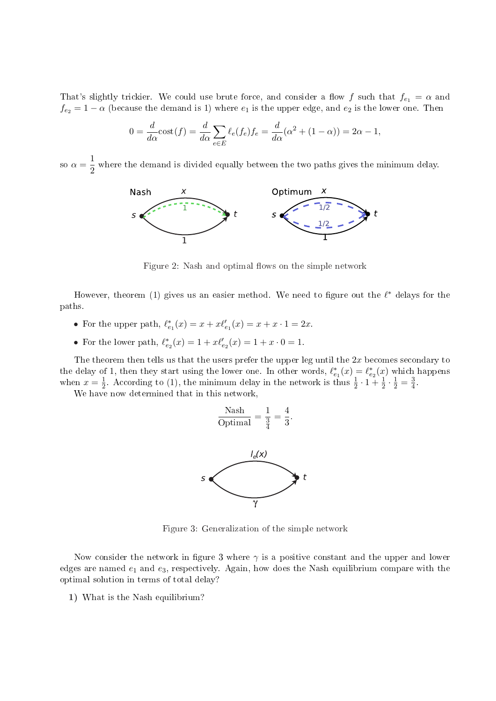That's slightly trickier. We could use brute force, and consider a flow f such that  $f_{e_1} = \alpha$  and  $f_{e_2} = 1 - \alpha$  (because the demand is 1) where  $e_1$  is the upper edge, and  $e_2$  is the lower one. Then

$$
0 = \frac{d}{d\alpha}\text{cost}(f) = \frac{d}{d\alpha}\sum_{e \in E} \ell_e(f_e)f_e = \frac{d}{d\alpha}(\alpha^2 + (1 - \alpha)) = 2\alpha - 1,
$$

so  $\alpha = \frac{1}{2}$  $\frac{1}{2}$  where the demand is divided equally between the two paths gives the minimum delay.



Figure 2: Nash and optimal flows on the simple network

However, theorem (1) gives us an easier method. We need to figure out the  $\ell^*$  delays for the paths.

- For the upper path,  $\ell_{e_1}^*(x) = x + x \ell_{e_1}'(x) = x + x \cdot 1 = 2x$ .
- For the lower path,  $\ell_{e_2}^*(x) = 1 + x \ell_{e_2}'(x) = 1 + x \cdot 0 = 1$ .

The theorem then tells us that the users prefer the upper leg until the  $2x$  becomes secondary to the delay of 1, then they start using the lower one. In other words,  $\ell_{e_1}^*(x) = \ell_{e_2}^*(x)$  which happens when  $x=\frac{1}{2}$  $\frac{1}{2}$ . According to (1), the minimum delay in the network is thus  $\frac{1}{2} \cdot 1 + \frac{1}{2} \cdot \frac{1}{2} = \frac{3}{4}$  $\frac{3}{4}$ .

We have now determined that in this network,



Figure 3: Generalization of the simple network

Now consider the network in figure 3 where  $\gamma$  is a positive constant and the upper and lower edges are named  $e_1$  and  $e_3$ , respectively. Again, how does the Nash equilibrium compare with the optimal solution in terms of total delay?

1) What is the Nash equilibrium?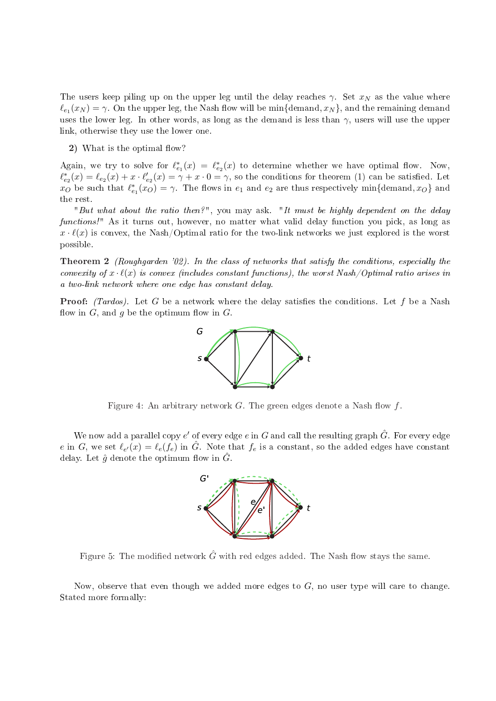The users keep piling up on the upper leg until the delay reaches  $\gamma$ . Set  $x_N$  as the value where  $\ell_{e_1}(x_N) = \gamma$ . On the upper leg, the Nash flow will be min{demand,  $x_N$ }, and the remaining demand uses the lower leg. In other words, as long as the demand is less than  $\gamma$ , users will use the upper link, otherwise they use the lower one.

2) What is the optimal flow?

Again, we try to solve for  $\ell_{e_1}^*(x) = \ell_{e_2}^*(x)$  to determine whether we have optimal flow. Now,  $\ell_{e_2}^*(x) = \ell_{e_2}(x) + x \cdot \ell_{e_2}'(x) = \gamma + x \cdot 0 = \gamma$ , so the conditions for theorem (1) can be satisfied. Let  $x_O$  be such that  $\ell_{e_1}^*(x_O) = \gamma$ . The flows in  $e_1$  and  $e_2$  are thus respectively min{demand,  $x_O$ } and the rest.

"But what about the ratio then?", you may ask. "It must be highly dependent on the delay functions!" As it turns out, however, no matter what valid delay function you pick, as long as  $x \cdot \ell(x)$  is convex, the Nash/Optimal ratio for the two-link networks we just explored is the worst possible.

**Theorem 2** (Roughgarden '02). In the class of networks that satisfy the conditions, especially the convexity of  $x \cdot \ell(x)$  is convex (includes constant functions), the worst Nash/Optimal ratio arises in a two-link network where one edge has constant delay.

**Proof:** (Tardos). Let G be a network where the delay satisfies the conditions. Let f be a Nash flow in  $G$ , and  $g$  be the optimum flow in  $G$ .



Figure 4: An arbitrary network  $G$ . The green edges denote a Nash flow  $f$ .

We now add a parallel copy  $e'$  of every edge  $e$  in  $G$  and call the resulting graph  $\hat G$ . For every edge e in G, we set  $\ell_{e'}(x) = \ell_e(f_e)$  in  $\hat{G}$ . Note that  $f_e$  is a constant, so the added edges have constant delay. Let  $\hat{g}$  denote the optimum flow in  $G$ .



Figure 5: The modified network  $G$  with red edges added. The Nash flow stays the same.

Now, observe that even though we added more edges to  $G$ , no user type will care to change. Stated more formally: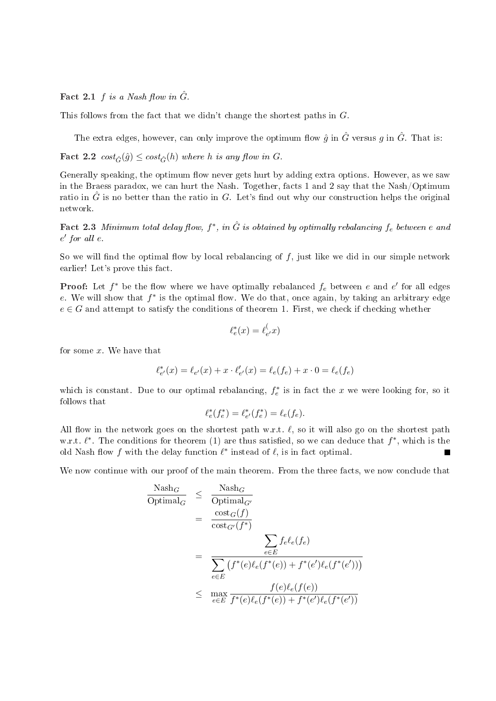Fact 2.1 f is a Nash flow in  $\hat{G}$ .

This follows from the fact that we didn't change the shortest paths in G.

The extra edges, however, can only improve the optimum flow  $\hat{g}$  in  $\hat{G}$  versus  $g$  in  $\hat{G}$ . That is:

Fact 2.2  $cost_{\hat{G}}(\hat{g}) \leq cost_{\hat{G}}(h)$  where h is any flow in G.

Generally speaking, the optimum flow never gets hurt by adding extra options. However, as we saw in the Braess paradox, we can hurt the Nash. Together, facts 1 and 2 say that the Nash/Optimum ratio in  $\hat{G}$  is no better than the ratio in G. Let's find out why our construction helps the original network.

Fact 2.3 Minimum total delay flow,  $f^*$ , in  $\hat{G}$  is obtained by optimally rebalancing  $f_e$  between  $e$  and  $e'$  for all  $e$ .

So we will find the optimal flow by local rebalancing of  $f$ , just like we did in our simple network earlier! Let's prove this fact.

**Proof:** Let  $f^*$  be the flow where we have optimally rebalanced  $f_e$  between  $e$  and  $e'$  for all edges e. We will show that  $f^*$  is the optimal flow. We do that, once again, by taking an arbitrary edge  $e \in G$  and attempt to satisfy the conditions of theorem 1. First, we check if checking whether

$$
\ell_e^*(x) = \ell_{e'}^(-x)
$$

for some  $x$ . We have that

$$
\ell_{e'}^*(x)=\ell_{e'}(x)+x\cdot \ell_{e'}'(x)=\ell_e(f_e)+x\cdot 0=\ell_e(f_e)
$$

which is constant. Due to our optimal rebalancing,  $f_e^*$  is in fact the x we were looking for, so it follows that

$$
\ell_e^*(f_e^*) = \ell_{e'}^*(f_e^*) = \ell_e(f_e).
$$

All flow in the network goes on the shortest path w.r.t.  $\ell$ , so it will also go on the shortest path w.r.t.  $\ell^*$ . The conditions for theorem (1) are thus satisfied, so we can deduce that  $f^*$ , which is the old Nash flow f with the delay function  $\ell^*$  instead of  $\ell$ , is in fact optimal.

We now continue with our proof of the main theorem. From the three facts, we now conclude that

$$
\frac{\text{Nash}_{G}}{\text{Optimal}_{G}} \leq \frac{\text{Nash}_{G}}{\text{Optimal}_{G'}}\n= \frac{\text{cost}_{G}(f)}{\text{cost}_{G'}(f^{*})}\n= \frac{\sum_{e \in E} f_{e} \ell_{e}(f_{e})}{\sum_{e \in E} (f^{*}(e) \ell_{e}(f^{*}(e)) + f^{*}(e') \ell_{e}(f^{*}(e')))}\n\leq \max_{e \in E} \frac{f(e) \ell_{e}(f(e))}{f^{*}(e) \ell_{e}(f^{*}(e)) + f^{*}(e') \ell_{e}(f^{*}(e'))}
$$